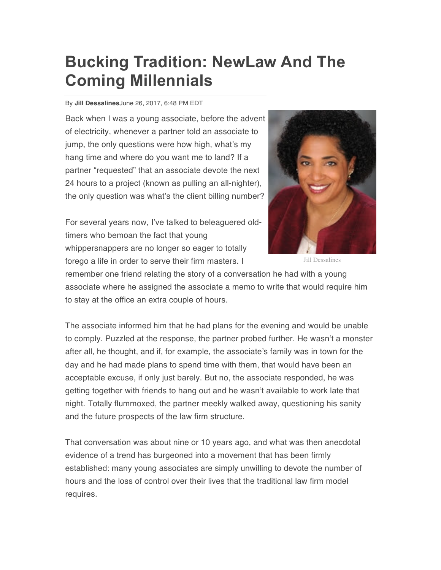## **Bucking Tradition: NewLaw And The Coming Millennials**

## By **Jill Dessalines**June 26, 2017, 6:48 PM EDT

Back when I was a young associate, before the advent of electricity, whenever a partner told an associate to jump, the only questions were how high, what's my hang time and where do you want me to land? If a partner "requested" that an associate devote the next 24 hours to a project (known as pulling an all-nighter), the only question was what's the client billing number?

For several years now, I've talked to beleaguered oldtimers who bemoan the fact that young whippersnappers are no longer so eager to totally forego a life in order to serve their firm masters. I



Jill Dessalines

remember one friend relating the story of a conversation he had with a young associate where he assigned the associate a memo to write that would require him to stay at the office an extra couple of hours.

The associate informed him that he had plans for the evening and would be unable to comply. Puzzled at the response, the partner probed further. He wasn't a monster after all, he thought, and if, for example, the associate's family was in town for the day and he had made plans to spend time with them, that would have been an acceptable excuse, if only just barely. But no, the associate responded, he was getting together with friends to hang out and he wasn't available to work late that night. Totally flummoxed, the partner meekly walked away, questioning his sanity and the future prospects of the law firm structure.

That conversation was about nine or 10 years ago, and what was then anecdotal evidence of a trend has burgeoned into a movement that has been firmly established: many young associates are simply unwilling to devote the number of hours and the loss of control over their lives that the traditional law firm model requires.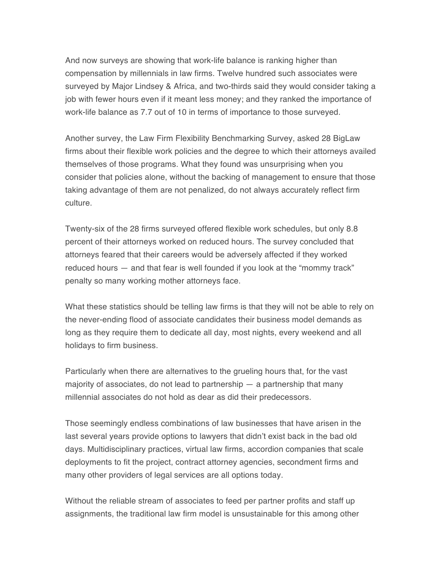And now surveys are showing that work-life balance is ranking higher than compensation by millennials in law firms. Twelve hundred such associates were surveyed by Major Lindsey & Africa, and two-thirds said they would consider taking a job with fewer hours even if it meant less money; and they ranked the importance of work-life balance as 7.7 out of 10 in terms of importance to those surveyed.

Another survey, the Law Firm Flexibility Benchmarking Survey, asked 28 BigLaw firms about their flexible work policies and the degree to which their attorneys availed themselves of those programs. What they found was unsurprising when you consider that policies alone, without the backing of management to ensure that those taking advantage of them are not penalized, do not always accurately reflect firm culture.

Twenty-six of the 28 firms surveyed offered flexible work schedules, but only 8.8 percent of their attorneys worked on reduced hours. The survey concluded that attorneys feared that their careers would be adversely affected if they worked reduced hours — and that fear is well founded if you look at the "mommy track" penalty so many working mother attorneys face.

What these statistics should be telling law firms is that they will not be able to rely on the never-ending flood of associate candidates their business model demands as long as they require them to dedicate all day, most nights, every weekend and all holidays to firm business.

Particularly when there are alternatives to the grueling hours that, for the vast majority of associates, do not lead to partnership — a partnership that many millennial associates do not hold as dear as did their predecessors.

Those seemingly endless combinations of law businesses that have arisen in the last several years provide options to lawyers that didn't exist back in the bad old days. Multidisciplinary practices, virtual law firms, accordion companies that scale deployments to fit the project, contract attorney agencies, secondment firms and many other providers of legal services are all options today.

Without the reliable stream of associates to feed per partner profits and staff up assignments, the traditional law firm model is unsustainable for this among other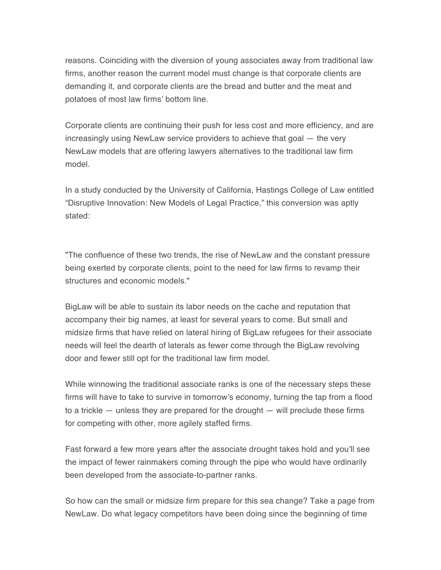reasons. Coinciding with the diversion of young associates away from traditional law firms, another reason the current model must change is that corporate clients are demanding it, and corporate clients are the bread and butter and the meat and potatoes of most law firms' bottom line.

Corporate clients are continuing their push for less cost and more efficiency, and are increasingly using NewLaw service providers to achieve that goal — the very NewLaw models that are offering lawyers alternatives to the traditional law firm model.

In a study conducted by the University of California, Hastings College of Law entitled "Disruptive Innovation: New Models of Legal Practice," this conversion was aptly stated:

"The confluence of these two trends, the rise of NewLaw and the constant pressure being exerted by corporate clients, point to the need for law firms to revamp their structures and economic models."

BigLaw will be able to sustain its labor needs on the cache and reputation that accompany their big names, at least for several years to come. But small and midsize firms that have relied on lateral hiring of BigLaw refugees for their associate needs will feel the dearth of laterals as fewer come through the BigLaw revolving door and fewer still opt for the traditional law firm model.

While winnowing the traditional associate ranks is one of the necessary steps these firms will have to take to survive in tomorrow's economy, turning the tap from a flood to a trickle — unless they are prepared for the drought — will preclude these firms for competing with other, more agilely staffed firms.

Fast forward a few more years after the associate drought takes hold and you'll see the impact of fewer rainmakers coming through the pipe who would have ordinarily been developed from the associate-to-partner ranks.

So how can the small or midsize firm prepare for this sea change? Take a page from NewLaw. Do what legacy competitors have been doing since the beginning of time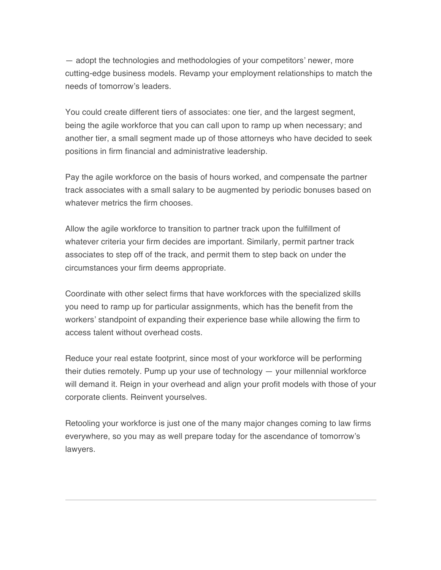— adopt the technologies and methodologies of your competitors' newer, more cutting-edge business models. Revamp your employment relationships to match the needs of tomorrow's leaders.

You could create different tiers of associates: one tier, and the largest segment, being the agile workforce that you can call upon to ramp up when necessary; and another tier, a small segment made up of those attorneys who have decided to seek positions in firm financial and administrative leadership.

Pay the agile workforce on the basis of hours worked, and compensate the partner track associates with a small salary to be augmented by periodic bonuses based on whatever metrics the firm chooses.

Allow the agile workforce to transition to partner track upon the fulfillment of whatever criteria your firm decides are important. Similarly, permit partner track associates to step off of the track, and permit them to step back on under the circumstances your firm deems appropriate.

Coordinate with other select firms that have workforces with the specialized skills you need to ramp up for particular assignments, which has the benefit from the workers' standpoint of expanding their experience base while allowing the firm to access talent without overhead costs.

Reduce your real estate footprint, since most of your workforce will be performing their duties remotely. Pump up your use of technology — your millennial workforce will demand it. Reign in your overhead and align your profit models with those of your corporate clients. Reinvent yourselves.

Retooling your workforce is just one of the many major changes coming to law firms everywhere, so you may as well prepare today for the ascendance of tomorrow's lawyers.